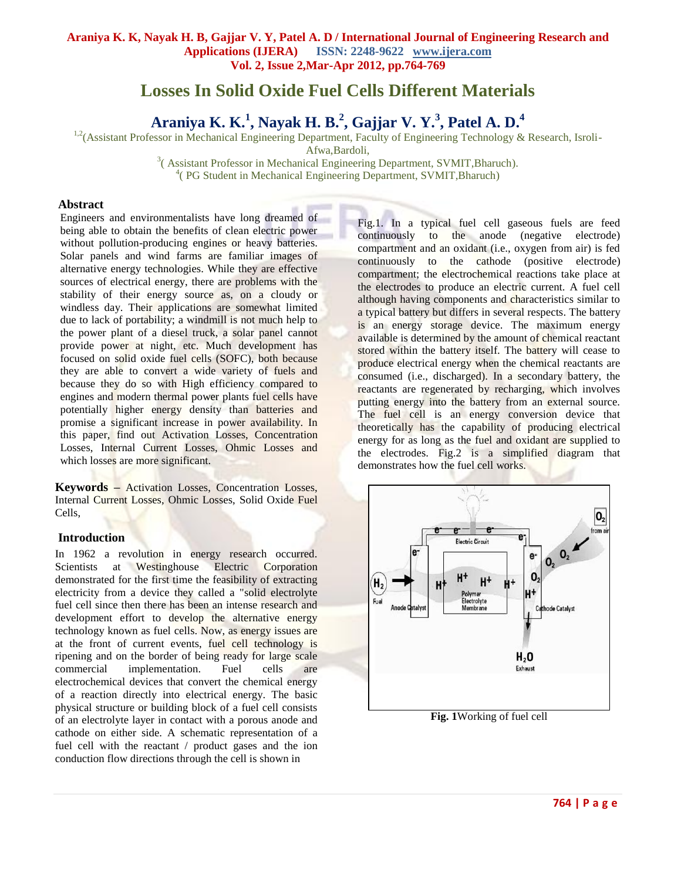# **Losses In Solid Oxide Fuel Cells Different Materials**

**Araniya K. K.<sup>1</sup> , Nayak H. B.<sup>2</sup> , Gajjar V. Y.<sup>3</sup> , Patel A. D.<sup>4</sup>**

<sup>1,2</sup>(Assistant Professor in Mechanical Engineering Department, Faculty of Engineering Technology & Research, Isroli-

Afwa,Bardoli,

<sup>3</sup> (Assistant Professor in Mechanical Engineering Department, SVMIT, Bharuch). 4 ( PG Student in Mechanical Engineering Department, SVMIT,Bharuch)

## **Abstract**

Engineers and environmentalists have long dreamed of being able to obtain the benefits of clean electric power without pollution-producing engines or heavy batteries. Solar panels and wind farms are familiar images of alternative energy technologies. While they are effective sources of electrical energy, there are problems with the stability of their energy source as, on a cloudy or windless day. Their applications are somewhat limited due to lack of portability; a windmill is not much help to the power plant of a diesel truck, a solar panel cannot provide power at night, etc. Much development has focused on [solid oxide](http://www.csa.com/discoveryguides/fuecel/gloss.php#sol) fuel cells (SOFC), both because they are able to convert a wide variety of fuels and because they do so with High efficiency compared to engines and modern thermal power plants fuel cells have potentially higher energy density than batteries and promise a significant increase in power availability. In this paper, find out Activation Losses, Concentration Losses, Internal Current Losses, Ohmic Losses and which losses are more significant.

**Keywords –** Activation Losses, Concentration Losses, Internal Current Losses, Ohmic Losses, Solid Oxide Fuel Cells,

# **Introduction**

In 1962 a revolution in energy research occurred. Scientists at Westinghouse Electric Corporation demonstrated for the first time the feasibility of extracting electricity from a device they called a "solid electrolyte fuel cell since then there has been an intense research and development effort to develop the alternative energy technology known as fuel cells. Now, as energy issues are at the front of current events, fuel cell technology is ripening and on the border of being ready for large scale commercial implementation. Fuel cells are electrochemical devices that convert the chemical energy of a reaction directly into electrical energy. The basic physical structure or building block of a fuel cell consists of an electrolyte layer in contact with a porous anode and cathode on either side. A schematic representation of a fuel cell with the reactant / product gases and the ion conduction flow directions through the cell is shown in

Fig.1. In a typical fuel cell gaseous fuels are feed continuously to the anode (negative electrode) compartment and an oxidant (i.e., oxygen from air) is fed continuously to the cathode (positive electrode) compartment; the electrochemical reactions take place at the electrodes to produce an electric current. A fuel cell although having components and characteristics similar to a typical battery but differs in several respects. The battery is an energy storage device. The maximum energy available is determined by the amount of chemical reactant stored within the battery itself. The battery will cease to produce electrical energy when the chemical reactants are consumed (i.e., discharged). In a secondary battery, the reactants are regenerated by recharging, which involves putting energy into the battery from an external source. The fuel cell is an energy conversion device that theoretically has the capability of producing electrical energy for as long as the fuel and oxidant are supplied to the electrodes. Fig.2 is a simplified diagram that demonstrates how the fuel cell works.



**Fig. 1**Working of fuel cell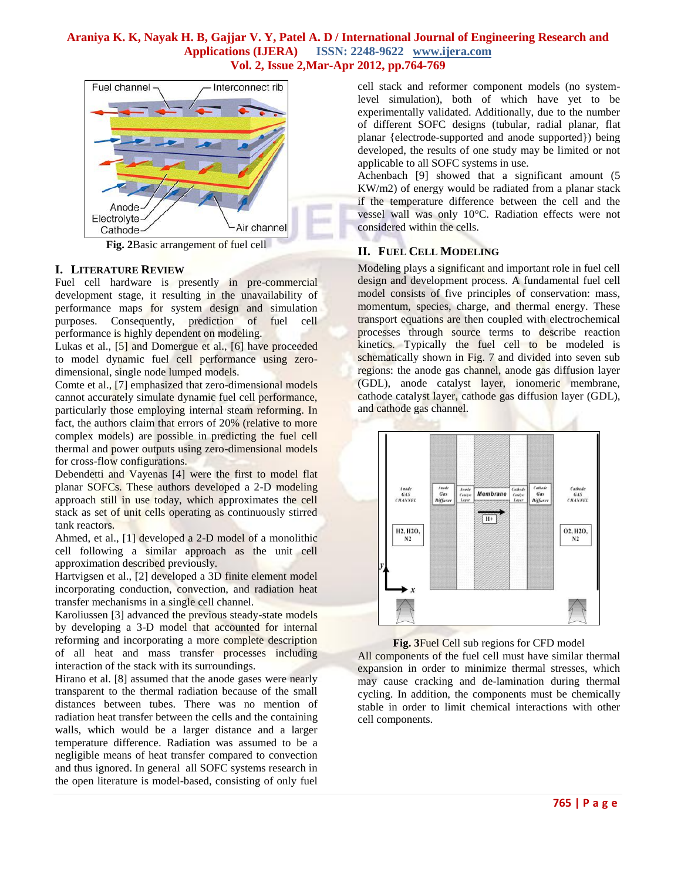

**Fig. 2**Basic arrangement of fuel cell

## **I. LITERATURE REVIEW**

Fuel cell hardware is presently in pre-commercial development stage, it resulting in the unavailability of performance maps for system design and simulation purposes. Consequently, prediction of fuel cell performance is highly dependent on modeling.

Lukas et al., [5] and Domergue et al., [6] have proceeded to model dynamic fuel cell performance using zerodimensional, single node lumped models.

Comte et al., [7] emphasized that zero-dimensional models cannot accurately simulate dynamic fuel cell performance, particularly those employing internal steam reforming. In fact, the authors claim that errors of 20% (relative to more complex models) are possible in predicting the fuel cell thermal and power outputs using zero-dimensional models for cross-flow configurations.

Debendetti and Vayenas [4] were the first to model flat planar SOFCs. These authors developed a 2-D modeling approach still in use today, which approximates the cell stack as set of unit cells operating as continuously stirred tank reactors.

Ahmed, et al., [1] developed a 2-D model of a monolithic cell following a similar approach as the unit cell approximation described previously.

Hartvigsen et al., [2] developed a 3D finite element model incorporating conduction, convection, and radiation heat transfer mechanisms in a single cell channel.

Karoliussen [3] advanced the previous steady-state models by developing a 3-D model that accounted for internal reforming and incorporating a more complete description of all heat and mass transfer processes including interaction of the stack with its surroundings.

Hirano et al. [8] assumed that the anode gases were nearly transparent to the thermal radiation because of the small distances between tubes. There was no mention of radiation heat transfer between the cells and the containing walls, which would be a larger distance and a larger temperature difference. Radiation was assumed to be a negligible means of heat transfer compared to convection and thus ignored. In general all SOFC systems research in the open literature is model-based, consisting of only fuel

cell stack and reformer component models (no systemlevel simulation), both of which have yet to be experimentally validated. Additionally, due to the number of different SOFC designs (tubular, radial planar, flat planar {electrode-supported and anode supported}) being developed, the results of one study may be limited or not applicable to all SOFC systems in use.

Achenbach [9] showed that a significant amount (5 KW/m2) of energy would be radiated from a planar stack if the temperature difference between the cell and the vessel wall was only 10°C. Radiation effects were not considered within the cells.

# **II. FUEL CELL MODELING**

Modeling plays a significant and important role in fuel cell design and development process. A fundamental fuel cell model consists of five principles of conservation: mass, momentum, species, charge, and thermal energy. These transport equations are then coupled with electrochemical processes through source terms to describe reaction kinetics. Typically the fuel cell to be modeled is schematically shown in Fig. 7 and divided into seven sub regions: the anode gas channel, anode gas diffusion layer (GDL), anode catalyst layer, ionomeric membrane, cathode catalyst layer, cathode gas diffusion layer (GDL), and cathode gas channel.



### **Fig. 3**Fuel Cell sub regions for CFD model

All components of the fuel cell must have similar thermal expansion in order to minimize thermal stresses, which may cause cracking and de-lamination during thermal cycling. In addition, the components must be chemically stable in order to limit chemical interactions with other cell components.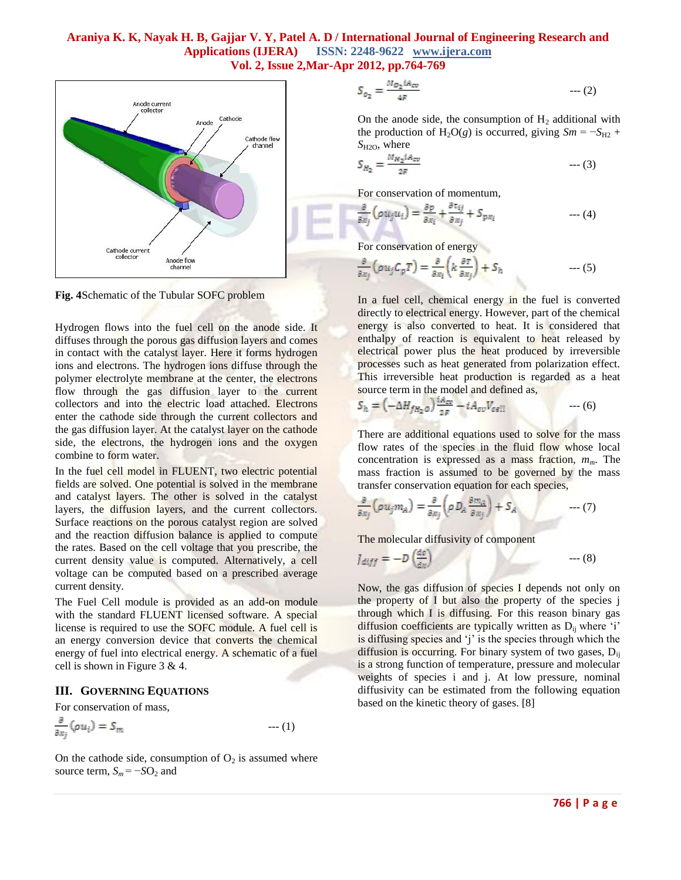

**Fig. 4**Schematic of the Tubular SOFC problem

Hydrogen flows into the fuel cell on the anode side. It diffuses through the porous gas diffusion layers and comes in contact with the catalyst layer. Here it forms hydrogen ions and electrons. The hydrogen ions diffuse through the polymer electrolyte membrane at the center, the electrons flow through the gas diffusion layer to the current collectors and into the electric load attached. Electrons enter the cathode side through the current collectors and the gas diffusion layer. At the catalyst layer on the cathode side, the electrons, the hydrogen ions and the oxygen combine to form water.

In the fuel cell model in FLUENT, two electric potential fields are solved. One potential is solved in the membrane and catalyst layers. The other is solved in the catalyst layers, the diffusion layers, and the current collectors. Surface reactions on the porous catalyst region are solved and the reaction diffusion balance is applied to compute the rates. Based on the cell voltage that you prescribe, the current density value is computed. Alternatively, a cell voltage can be computed based on a prescribed average current density.

The Fuel Cell module is provided as an add-on module with the standard FLUENT licensed software. A special license is required to use the SOFC module. A fuel cell is an energy conversion device that converts the chemical energy of fuel into electrical energy. A schematic of a fuel cell is shown in Figure 3 & 4.

### **III. GOVERNING EQUATIONS**

For conservation of mass,

$$
\frac{\partial}{\partial x_j}(\rho u_i) = S_m \tag{1}
$$

On the cathode side, consumption of  $O_2$  is assumed where source term,  $S_m = -SO_2$  and

$$
S_{o_2} = \frac{M_{o_2} i A_{cv}}{4F} \qquad \qquad \cdots (2)
$$

On the anode side, the consumption of  $H_2$  additional with the production of H<sub>2</sub>O(*g*) is occurred, giving  $Sm = -S_{H2}$  + *S*H2O, where

$$
S_{H_2} = \frac{M_{H_2} I A_{cv}}{2F} \qquad \qquad \cdots (3)
$$

For conservation of momentum,

$$
\frac{\partial}{\partial x_j} \left( \rho u_j u_i \right) = \frac{\partial p}{\partial x_i} + \frac{\partial \tau_{ij}}{\partial x_j} + S_{px_i} \tag{4}
$$

For conservation of energy

--- (5)

In a fuel cell, chemical energy in the fuel is converted directly to electrical energy. However, part of the chemical energy is also converted to heat. It is considered that enthalpy of reaction is equivalent to heat released by electrical power plus the heat produced by irreversible processes such as heat generated from polarization effect. This irreversible heat production is regarded as a heat source term in the model and defined as,

$$
S_h = \left(-\Delta H_{fH_2 o}\right) \frac{1A_{cv}}{2F} - iA_{cv}V_{cell} \qquad \qquad \cdots (6)
$$

There are additional equations used to solve for the mass flow rates of the species in the fluid flow whose local concentration is expressed as a mass fraction, *mm*. The mass fraction is assumed to be governed by the mass transfer conservation equation for each species,

--- (7)

The molecular diffusivity of component

$$
J_{diff} = -D\left(\frac{de}{dx}\right) \tag{8}
$$

Now, the gas diffusion of species I depends not only on the property of I but also the property of the species j through which I is diffusing. For this reason binary gas diffusion coefficients are typically written as  $D_{ii}$  where 'i' is diffusing species and 'j' is the species through which the diffusion is occurring. For binary system of two gases, D<sub>ij</sub> is a strong function of temperature, pressure and molecular weights of species i and j. At low pressure, nominal diffusivity can be estimated from the following equation based on the kinetic theory of gases. [8]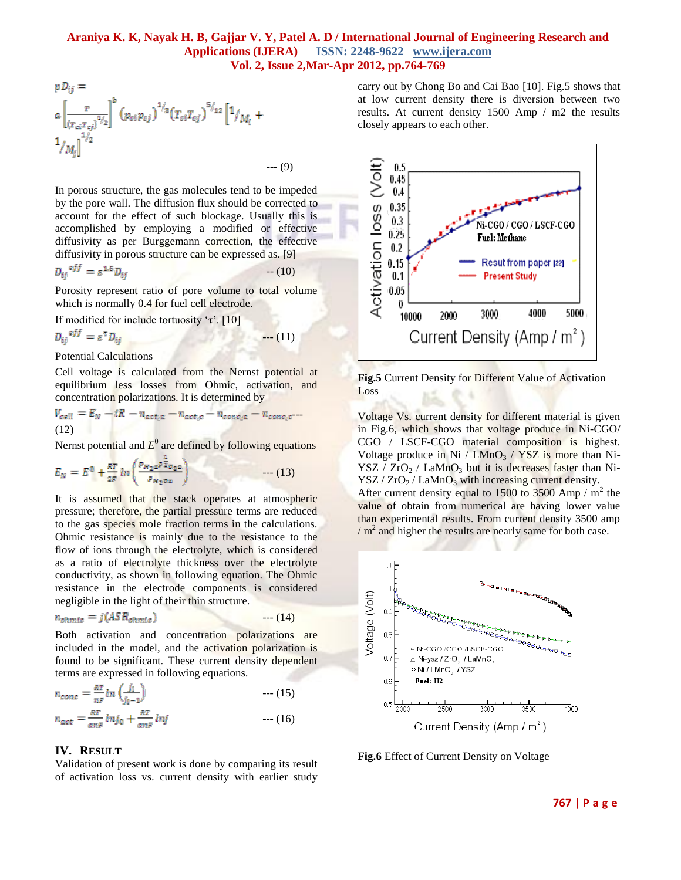--- (9)

$$
p D_{ij} =
$$
  
\n
$$
\alpha \left[ \frac{\tau}{(r_{ci} r_{cj})^{3/2}} \right]^b (p_{ci} p_{cj})^{1/2} (T_{ci} T_{cj})^{5/2} [1/_{M_i} + 1/_{M_j}]^{1/2}
$$

In porous structure, the gas molecules tend to be impeded by the pore wall. The diffusion flux should be corrected to account for the effect of such blockage. Usually this is accomplished by employing a modified or effective diffusivity as per Burggemann correction, the effective diffusivity in porous structure can be expressed as. [9]

$$
D_{ij}^{eff} = \varepsilon^{1.5} D_{ij} \tag{10}
$$

Porosity represent ratio of pore volume to total volume which is normally 0.4 for fuel cell electrode.

If modified for include tortuosity 'τ'. [10]

$$
D_{ij}{}^{eff} = \varepsilon^{T} D_{ij} \tag{11}
$$

Potential Calculations

Cell voltage is calculated from the Nernst potential at equilibrium less losses from Ohmic, activation, and concentration polarizations. It is determined by

$$
V_{cell} = E_N - iR - n_{act,a} - n_{act,c} - n_{conc,a} - n_{conc,c}
$$
  
(12)

Nernst potential and  $E^0$  are defined by following equations

$$
E_N = E^0 + \frac{RT}{2F} \ln \left( \frac{P_{H_2 a} P \bar{Z}_{O_2 a}}{P_{H_2 O a}} \right) \tag{13}
$$

It is assumed that the stack operates at atmospheric pressure; therefore, the partial pressure terms are reduced to the gas species mole fraction terms in the calculations. Ohmic resistance is mainly due to the resistance to the flow of ions through the electrolyte, which is considered as a ratio of electrolyte thickness over the electrolyte conductivity, as shown in following equation. The Ohmic resistance in the electrode components is considered negligible in the light of their thin structure.

$$
n_{ohmic} = j(ASR_{ohmic}) \qquad \qquad \cdots (14)
$$

Both activation and concentration polarizations are included in the model, and the activation polarization is found to be significant. These current density dependent terms are expressed in following equations.

$$
n_{conc} = \frac{RT}{nF} \ln \left( \frac{j_l}{j_l - 1} \right) \qquad \qquad \text{--- (15)}
$$
  

$$
n_{act} = \frac{RT}{anF} \ln j_0 + \frac{RT}{anF} \ln j \qquad \qquad \text{--- (16)}
$$

### **IV. RESULT**

Validation of present work is done by comparing its result of activation loss vs. current density with earlier study carry out by Chong Bo and Cai Bao [10]. Fig.5 shows that at low current density there is diversion between two results. At current density 1500 Amp / m2 the results closely appears to each other.



**Fig.5** Current Density for Different Value of Activation Loss

Voltage Vs. current density for different material is given in Fig.6, which shows that voltage produce in Ni-CGO/ CGO / LSCF-CGO material composition is highest. Voltage produce in Ni /  $LMnO<sub>3</sub>$  / YSZ is more than Ni- $YSZ / ZrO<sub>2</sub> / LaMnO<sub>3</sub>$  but it is decreases faster than Ni- $\text{YSZ} / \text{ZrO}_2 / \text{LaMnO}_3$  with increasing current density. After current density equal to 1500 to 3500 Amp  $/m<sup>2</sup>$  the value of obtain from numerical are having lower value than experimental results. From current density 3500 amp  $/m<sup>2</sup>$  and higher the results are nearly same for both case.



**Fig.6** Effect of Current Density on Voltage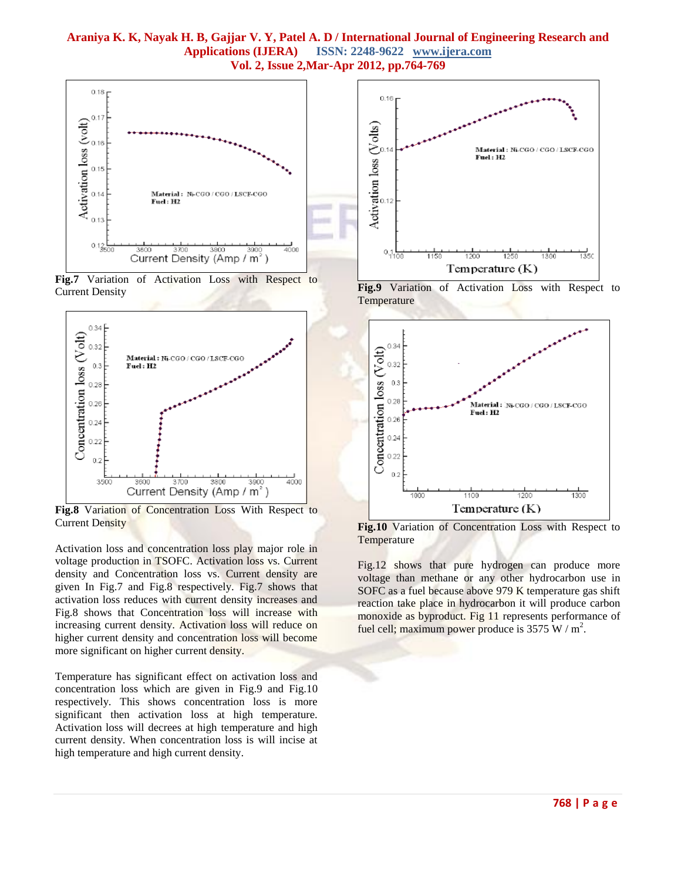

**Fig.7** Variation of Activation Loss with Respect to Current Density



**Fig.8** Variation of Concentration Loss With Respect to Current Density

Activation loss and concentration loss play major role in voltage production in TSOFC. Activation loss vs. Current density and Concentration loss vs. Current density are given In Fig.7 and Fig.8 respectively. Fig.7 shows that activation loss reduces with current density increases and Fig.8 shows that Concentration loss will increase with increasing current density. Activation loss will reduce on higher current density and concentration loss will become more significant on higher current density.

Temperature has significant effect on activation loss and concentration loss which are given in Fig.9 and Fig.10 respectively. This shows concentration loss is more significant then activation loss at high temperature. Activation loss will decrees at high temperature and high current density. When concentration loss is will incise at high temperature and high current density.



**Fig.9** Variation of Activation Loss with Respect to Temperature



**Fig.10** Variation of Concentration Loss with Respect to **Temperature** 

Fig.12 shows that pure hydrogen can produce more voltage than methane or any other hydrocarbon use in SOFC as a fuel because above 979 K temperature gas shift reaction take place in hydrocarbon it will produce carbon monoxide as byproduct. Fig 11 represents performance of fuel cell; maximum power produce is  $3575 \text{ W/m}^2$ .